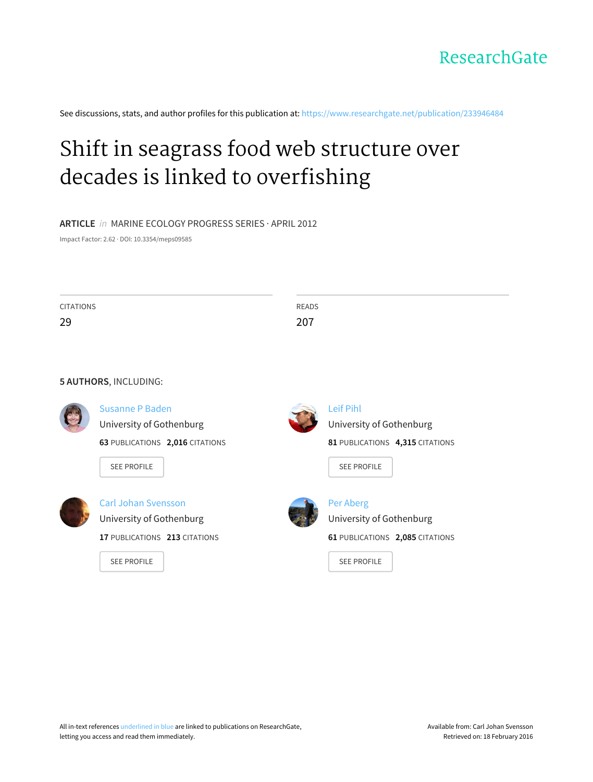

See discussions, stats, and author profiles for this publication at: [https://www.researchgate.net/publication/233946484](https://www.researchgate.net/publication/233946484_Shift_in_seagrass_food_web_structure_over_decades_is_linked_to_overfishing?enrichId=rgreq-ca7b42cb-9a88-4b99-9a41-24b94e2b5814&enrichSource=Y292ZXJQYWdlOzIzMzk0NjQ4NDtBUzoxMDQ5MjI3NDE3Mzk1MzRAMTQwMjAyNjkzOTcyOQ%3D%3D&el=1_x_2)

# Shift in seagrass food web structure over decades is linked to [overfishing](https://www.researchgate.net/publication/233946484_Shift_in_seagrass_food_web_structure_over_decades_is_linked_to_overfishing?enrichId=rgreq-ca7b42cb-9a88-4b99-9a41-24b94e2b5814&enrichSource=Y292ZXJQYWdlOzIzMzk0NjQ4NDtBUzoxMDQ5MjI3NDE3Mzk1MzRAMTQwMjAyNjkzOTcyOQ%3D%3D&el=1_x_3)

## **ARTICLE** in MARINE ECOLOGY PROGRESS SERIES · APRIL 2012

Impact Factor: 2.62 · DOI: 10.3354/meps09585

| <b>CITATIONS</b><br>29 |                                 | <b>READS</b><br>207             |
|------------------------|---------------------------------|---------------------------------|
|                        |                                 |                                 |
|                        | 5 AUTHORS, INCLUDING:           |                                 |
|                        | <b>Susanne P Baden</b>          | <b>Leif Pihl</b>                |
|                        | University of Gothenburg        | University of Gothenburg        |
|                        | 63 PUBLICATIONS 2,016 CITATIONS | 81 PUBLICATIONS 4,315 CITATIONS |
|                        | <b>SEE PROFILE</b>              | <b>SEE PROFILE</b>              |
|                        | <b>Carl Johan Svensson</b>      | <b>Per Aberg</b>                |
|                        | University of Gothenburg        | University of Gothenburg        |
|                        | 17 PUBLICATIONS 213 CITATIONS   | 61 PUBLICATIONS 2,085 CITATIONS |
|                        | <b>SEE PROFILE</b>              | <b>SEE PROFILE</b>              |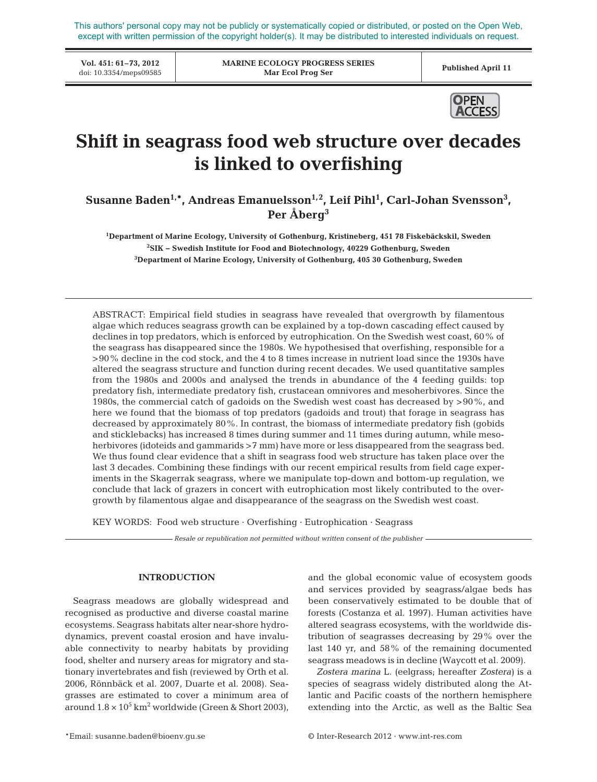This authors' personal copy may not be publicly or systematically copied or distributed, or posted on the Open Web, except with written permission of the copyright holder(s). It may be distributed to interested individuals on request.

**Vol. 451: 61–73, 2012**

**MARINE ECOLOGY PROGRESS SERIES Mar Ecol Prog Ser** VOL 451: 01-73, 2012<br>doi: 10.3354/meps09585 **Published April 11**<br>Mar Ecol Prog Ser **Published April 11** 



# **Shift in seagrass food web structure over decades is linked to overfishing**

Susanne Baden<sup>1,\*</sup>, Andreas Emanuelsson<sup>1,2</sup>, Leif Pihl<sup>1</sup>, Carl-Johan Svensson<sup>3</sup>, **Per Åberg3**

**1 Department of Marine Ecology, University of Gothenburg, Kristineberg, 451 78 Fiskebäckskil, Sweden 2 SIK − Swedish Institute for Food and Biotechnology, 40229 Gothenburg, Sweden 3 Department of Marine Ecology, University of Gothenburg, 405 30 Gothenburg, Sweden**

ABSTRACT: Empirical field studies in seagrass have revealed that overgrowth by filamentous algae which reduces seagrass growth can be explained by a top-down cascading effect caused by declines in top predators, which is enforced by eutrophication. On the Swedish west coast, 60% of the seagrass has disappeared since the 1980s. We hypothesised that overfishing, responsible for a >90% decline in the cod stock, and the 4 to 8 times increase in nutrient load since the 1930s have altered the seagrass structure and function during recent decades. We used quantitative samples from the 1980s and 2000s and analysed the trends in abundance of the 4 feeding guilds: top predatory fish, intermediate predatory fish, crustacean omnivores and mesoherbivores. Since the 1980s, the commercial catch of gadoids on the Swedish west coast has decreased by >90%, and here we found that the biomass of top predators (gadoids and trout) that forage in seagrass has decreased by approximately 80%. In contrast, the biomass of intermediate predatory fish (gobids and sticklebacks) has increased 8 times during summer and 11 times during autumn, while mesoherbivores (idoteids and gammarids >7 mm) have more or less disappeared from the seagrass bed. We thus found clear evidence that a shift in seagrass food web structure has taken place over the last 3 decades. Combining these findings with our recent empirical results from field cage experiments in the Skagerrak seagrass, where we manipulate top-down and bottom-up regulation, we conclude that lack of grazers in concert with eutrophication most likely contributed to the overgrowth by filamentous algae and disappearance of the seagrass on the Swedish west coast.

KEY WORDS: Food web structure · Overfishing · Eutrophication · Seagrass

*Resale or republication not permitted without written consent of the publisher*

# **INTRODUCTION**

Seagrass meadows are globally widespread and recognised as productive and diverse coastal marine ecosystems. Seagrass habitats alter near-shore hydrodynamics, prevent coastal erosion and have invaluable connectivity to nearby habitats by providing food, shelter and nursery areas for migratory and stationary invertebrates and fish (reviewed by Orth et al. 2006, Rönnbäck et al. 2007, Duarte et al. 2008). Seagrasses are estimated to cover a minimum area of around  $1.8 \times 10^5$  km<sup>2</sup> worldwide (Green & Short 2003),

and the global economic value of ecosystem goods and services provided by seagrass/algae beds has been conservatively estimated to be double that of forests (Costanza et al. 1997). Human activities have altered seagrass ecosystems, with the worldwide distribution of seagrasses decreasing by 29% over the last 140 yr, and 58% of the remaining documented seagrass meadows is in decline (Waycott et al. 2009).

*Zostera marina* L. (eelgrass; hereafter *Zostera)* is a species of seagrass widely distributed along the Atlantic and Pacific coasts of the northern hemisphere extending into the Arctic, as well as the Baltic Sea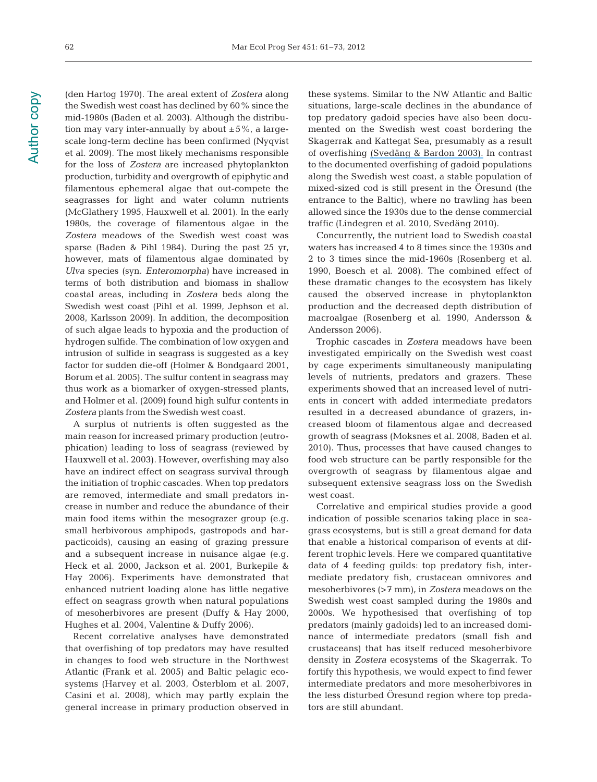(den Hartog 1970). The areal extent of *Zostera* along the Swedish west coast has declined by 60% since the mid-1980s (Baden et al. 2003). Although the distribution may vary inter-annually by about  $\pm 5\%$ , a largescale long-term decline has been confirmed (Nyqvist et al. 2009). The most likely mechanisms responsible for the loss of *Zostera* are increased phytoplankton production, turbidity and overgrowth of epiphytic and filamentous ephemeral algae that out-compete the seagrasses for light and water column nutrients (McGlathery 1995, Hauxwell et al. 2001). In the early 1980s, the coverage of filamentous algae in the *Zostera* meadows of the Swedish west coast was sparse (Baden & Pihl 1984). During the past 25 yr, however, mats of filamentous algae dominated by *Ulva* species (syn. *Enteromorpha)* have increased in terms of both distribution and biomass in shallow coastal areas, including in *Zostera* beds along the Swedish west coast (Pihl et al. 1999, Jephson et al. 2008, Karlsson 2009). In addition, the decomposition of such algae leads to hypoxia and the production of hydrogen sulfide. The combination of low oxygen and intrusion of sulfide in seagrass is suggested as a key factor for sudden die-off (Holmer & Bondgaard 2001, Borum et al. 2005). The sulfur content in seagrass may thus work as a biomarker of oxygen-stressed plants, and Holmer et al. (2009) found high sulfur contents in *Zostera* plants from the Swedish west coast.

A surplus of nutrients is often suggested as the main reason for increased primary production (eutrophication) leading to loss of seagrass (reviewed by Hauxwell et al. 2003). However, overfishing may also have an indirect effect on seagrass survival through the initiation of trophic cascades. When top predators are removed, intermediate and small predators in crease in number and reduce the abundance of their main food items within the mesograzer group (e.g. small herbivorous amphipods, gastropods and harpacticoids), causing an easing of grazing pressure and a subsequent increase in nuisance algae (e.g. Heck et al. 2000, Jackson et al. 2001, Burkepile & Hay 2006). Experiments have demonstrated that enhanced nutrient loading alone has little negative effect on seagrass growth when natural populations of mesoherbivores are present (Duffy & Hay 2000, Hughes et al. 2004, Valentine & Duffy 2006).

Recent correlative analyses have demonstrated that overfishing of top predators may have resulted in changes to food web structure in the Northwest Atlantic (Frank et al. 2005) and Baltic pelagic ecosystems (Harvey et al. 2003, Österblom et al. 2007, Casini et al. 2008), which may partly explain the general increase in primary production observed in

these systems. Similar to the NW Atlantic and Baltic situations, large-scale declines in the abundance of top predatory gadoid species have also been documented on the Swedish west coast bordering the Skagerrak and Kattegat Sea, presumably as a result of overfishing [\(Svedäng & Bardon 2003\).](https://www.researchgate.net/publication/229867029_Cod_Gadus_morhua_L_populations_as_behavioural_units_Inference_from_time_series_on_juvenile_abundance_in_the_eastern_Skagerrak?el=1_x_8&enrichId=rgreq-ca7b42cb-9a88-4b99-9a41-24b94e2b5814&enrichSource=Y292ZXJQYWdlOzIzMzk0NjQ4NDtBUzoxMDQ5MjI3NDE3Mzk1MzRAMTQwMjAyNjkzOTcyOQ==) In contrast to the documented overfishing of gadoid populations along the Swedish west coast, a stable population of mixed-sized cod is still present in the Öresund (the entrance to the Baltic), where no trawling has been allowed since the 1930s due to the dense commercial traffic (Lindegren et al. 2010, Svedäng 2010).

Concurrently, the nutrient load to Swedish coastal waters has increased 4 to 8 times since the 1930s and 2 to 3 times since the mid-1960s (Rosenberg et al. 1990, Boesch et al. 2008). The combined effect of these dramatic changes to the ecosystem has likely caused the observed increase in phytoplankton production and the decreased depth distribution of macro algae (Rosenberg et al. 1990, Andersson & Andersson 2006).

Trophic cascades in *Zostera* meadows have been investigated empirically on the Swedish west coast by cage experiments simultaneously manipulating levels of nutrients, predators and grazers. These experiments showed that an increased level of nutrients in concert with added intermediate predators resulted in a decreased abundance of grazers, increased bloom of filamentous algae and decreased growth of seagrass (Moksnes et al. 2008, Baden et al. 2010). Thus, processes that have caused changes to food web structure can be partly responsible for the overgrowth of seagrass by filamentous algae and subsequent extensive seagrass loss on the Swedish west coast.

Correlative and empirical studies provide a good indication of possible scenarios taking place in seagrass ecosystems, but is still a great demand for data that enable a historical comparison of events at different trophic levels. Here we compared quantitative data of 4 feeding guilds: top predatory fish, intermediate predatory fish, crustacean omnivores and meso herbivores (>7 mm), in *Zostera* meadows on the Swedish west coast sampled during the 1980s and 2000s. We hypothesised that overfishing of top predators (mainly gadoids) led to an increased dominance of intermediate predators (small fish and crusta ceans) that has itself reduced mesoherbivore density in *Zostera* ecosystems of the Skagerrak. To fortify this hypothesis, we would expect to find fewer intermediate predators and more mesoherbivores in the less disturbed Öresund region where top predators are still abundant.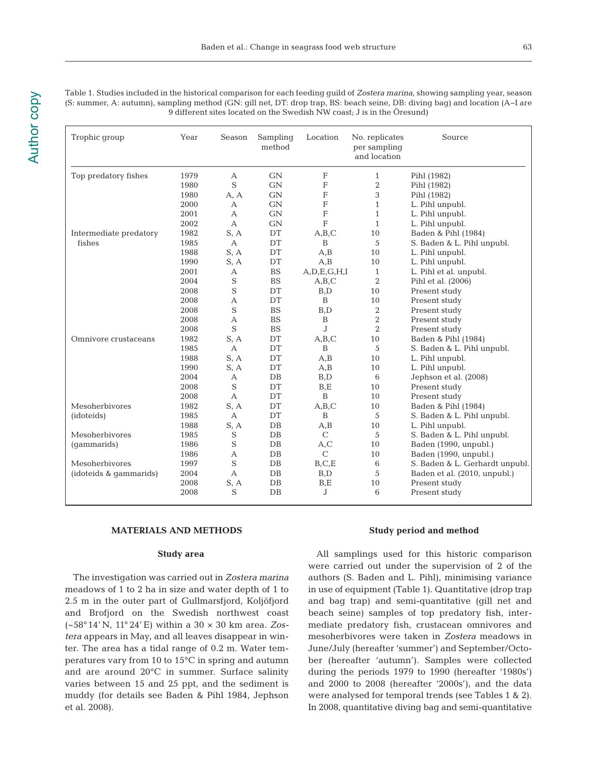Table 1. Studies included in the historical comparison for each feeding guild of *Zostera marina*, showing sampling year, season (S: summer, A: autumn), sampling method (GN: gill net, DT: drop trap, BS: beach seine, DB: diving bag) and location (A−I are 9 different sites located on the Swedish NW coast; J is in the Öresund)

| Trophic group          | Year | Season         | Sampling<br>method | Location         | No. replicates<br>per sampling<br>and location | Source                         |
|------------------------|------|----------------|--------------------|------------------|------------------------------------------------|--------------------------------|
| Top predatory fishes   | 1979 | $\mathbf{A}$   | GN                 | F                | $\mathbf{1}$                                   | Pihl (1982)                    |
|                        | 1980 | S              | <b>GN</b>          | F                | 2                                              | Pihl (1982)                    |
|                        | 1980 | A, A           | GN                 | F                | 3                                              | Pihl (1982)                    |
|                        | 2000 | А              | <b>GN</b>          | F                | $\mathbf{1}$                                   | L. Pihl unpubl.                |
|                        | 2001 | А              | <b>GN</b>          | $\mathbf F$      | $1\,$                                          | L. Pihl unpubl.                |
|                        | 2002 | $\mathbf{A}$   | <b>GN</b>          | F                | $\mathbf{1}$                                   | L. Pihl unpubl.                |
| Intermediate predatory | 1982 | S, A           | DT                 | A,B,C            | 10                                             | Baden & Pihl (1984)            |
| fishes                 | 1985 | $\overline{A}$ | DT                 | B                | 5                                              | S. Baden & L. Pihl unpubl.     |
|                        | 1988 | S, A           | DT                 | A, B             | 10                                             | L. Pihl unpubl.                |
|                        | 1990 | S, A           | DT                 | A,B              | 10                                             | L. Pihl unpubl.                |
|                        | 2001 | А              | <b>BS</b>          | A, D, E, G, H, I | $\mathbf{1}$                                   | L. Pihl et al. unpubl.         |
|                        | 2004 | S              | <b>BS</b>          | A,B,C            | $\overline{2}$                                 | Pihl et al. (2006)             |
|                        | 2008 | S              | DT                 | B,D              | 10                                             | Present study                  |
|                        | 2008 | A              | DT                 | B                | 10                                             | Present study                  |
|                        | 2008 | S              | <b>BS</b>          | B,D              | 2                                              | Present study                  |
|                        | 2008 | А              | <b>BS</b>          | B                | $\overline{2}$                                 | Present study                  |
|                        | 2008 | S              | <b>BS</b>          | $\overline{J}$   | $\overline{2}$                                 | Present study                  |
| Omnivore crustaceans   | 1982 | S, A           | DT                 | A,B,C            | 10                                             | Baden & Pihl (1984)            |
|                        | 1985 | A              | DT                 | B                | 5                                              | S. Baden & L. Pihl unpubl.     |
|                        | 1988 | S, A           | DT                 | A,B              | 10                                             | L. Pihl unpubl.                |
|                        | 1990 | S, A           | DT                 | A,B              | 10                                             | L. Pihl unpubl.                |
|                        | 2004 | А              | $DB$               | B.D              | 6                                              | Jephson et al. (2008)          |
|                        | 2008 | S              | DT                 | B.E              | 10                                             | Present study                  |
|                        | 2008 | A              | DT                 | B                | 10                                             | Present study                  |
| Mesoherbivores         | 1982 | S, A           | DT                 | A, B, C          | 10                                             | Baden & Pihl (1984)            |
| (idoteids)             | 1985 | $\mathbf{A}$   | DT                 | B                | 5                                              | S. Baden & L. Pihl unpubl.     |
|                        | 1988 | S, A           | $DB$               | A,B              | 10                                             | L. Pihl unpubl.                |
| Mesoherbivores         | 1985 | S              | $DB$               | $\mathcal{C}$    | 5                                              | S. Baden & L. Pihl unpubl.     |
| (gammarids)            | 1986 | S              | $DB$               | A, C             | 10                                             | Baden (1990, unpubl.)          |
|                        | 1986 | А              | $DB$               | $\mathcal{C}$    | 10                                             | Baden (1990, unpubl.)          |
| Mesoherbivores         | 1997 | S              | $DB$               | B, C, E          | 6                                              | S. Baden & L. Gerhardt unpubl. |
| (idoteids & gammarids) | 2004 | $\mathbf{A}$   | $DB$               | B, D             | 5                                              | Baden et al. (2010, unpubl.)   |
|                        | 2008 | S, A           | $DB$               | B,E              | 10                                             | Present study                  |
|                        | 2008 | S              | $DB$               | J                | 6                                              | Present study                  |

# **MATERIALS AND METHODS**

# **Study area**

The investigation was carried out in *Zostera marina* meadows of 1 to 2 ha in size and water depth of 1 to 2.5 m in the outer part of Gullmarsfjord, Koljöfjord and Brofjord on the Swedish northwest coast (~58°14' N, 11° 24' E) within a 30 × 30 km area. *Zos tera* appears in May, and all leaves disappear in winter. The area has a tidal range of 0.2 m. Water temperatures vary from 10 to 15°C in spring and autumn and are around 20°C in summer. Surface salinity varies between 15 and 25 ppt, and the sediment is muddy (for details see Baden & Pihl 1984, Jephson et al. 2008).

#### **Study period and method**

All samplings used for this historic comparison were carried out under the supervision of 2 of the authors (S. Baden and L. Pihl), minimising variance in use of equipment (Table 1). Quantitative (drop trap and bag trap) and semi-quantitative (gill net and beach seine) samples of top predatory fish, intermediate predatory fish, crustacean omnivores and mesoherbivores were taken in *Zostera* meadows in June/July (hereafter 'summer') and September/October (hereafter 'autumn'). Samples were collected during the periods 1979 to 1990 (hereafter '1980s') and 2000 to 2008 (hereafter '2000s'), and the data were analysed for temporal trends (see Tables 1 & 2). In 2008, quantitative diving bag and semi-quantitative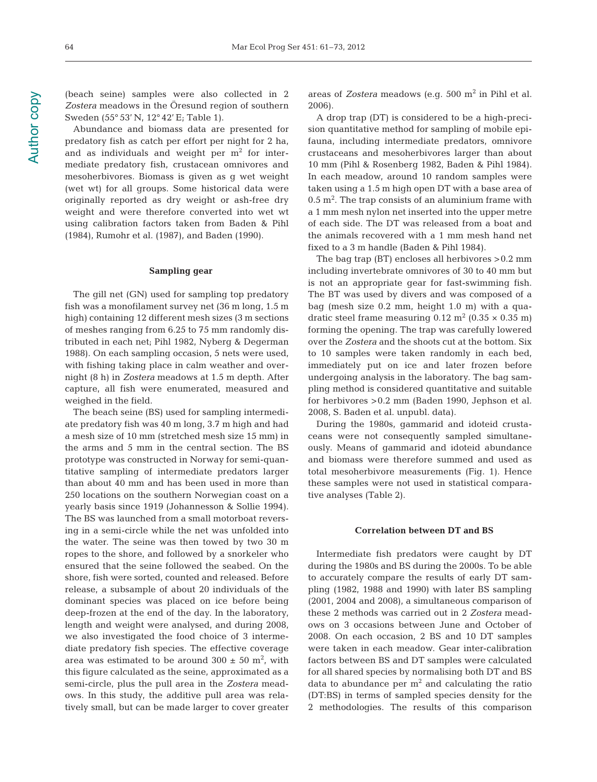64

(beach seine) samples were also collected in 2 *Zostera* meadows in the Öresund region of southern Sweden (55° 53' N, 12° 42' E; Table 1).

Abundance and biomass data are presented for predatory fish as catch per effort per night for 2 ha, and as individuals and weight per  $m<sup>2</sup>$  for intermediate predatory fish, crustacean omnivores and mesoherbivores. Biomass is given as g wet weight (wet wt) for all groups. Some historical data were originally reported as dry weight or ash-free dry weight and were therefore converted into wet wt using calibration factors taken from Baden & Pihl (1984), Rumohr et al. (1987), and Baden (1990).

#### **Sampling gear**

The gill net (GN) used for sampling top predatory fish was a monofilament survey net (36 m long, 1.5 m high) containing 12 different mesh sizes (3 m sections of meshes ranging from 6.25 to 75 mm randomly dis tributed in each net; Pihl 1982, Nyberg & Degerman 1988). On each sampling occasion, 5 nets were used, with fishing taking place in calm weather and overnight (8 h) in *Zostera* meadows at 1.5 m depth. After capture, all fish were enumerated, measured and weighed in the field.

The beach seine (BS) used for sampling intermediate predatory fish was 40 m long, 3.7 m high and had a mesh size of 10 mm (stretched mesh size 15 mm) in the arms and 5 mm in the central section. The BS prototype was constructed in Norway for semi-quantitative sampling of intermediate predators larger than about 40 mm and has been used in more than 250 locations on the southern Norwegian coast on a yearly basis since 1919 (Johannesson & Sollie 1994). The BS was launched from a small motorboat reversing in a semi-circle while the net was unfolded into the water. The seine was then towed by two 30 m ropes to the shore, and followed by a snorkeler who ensured that the seine followed the seabed. On the shore, fish were sorted, counted and released. Before release, a subsample of about 20 individuals of the dominant species was placed on ice before being deep-frozen at the end of the day. In the laboratory, length and weight were analysed, and during 2008, we also investigated the food choice of 3 interme diate predatory fish species. The effective coverage area was estimated to be around  $300 \pm 50$  m<sup>2</sup>, with this figure calculated as the seine, approximated as a semi-circle, plus the pull area in the *Zostera* meadows. In this study, the additive pull area was relatively small, but can be made larger to cover greater areas of *Zostera* meadows (e.g. 500 m<sup>2</sup> in Pihl et al. 2006).

A drop trap (DT) is considered to be a high-precision quantitative method for sampling of mobile epifauna, including intermediate predators, omnivore crustaceans and mesoherbivores larger than about 10 mm (Pihl & Rosenberg 1982, Baden & Pihl 1984). In each meadow, around 10 random samples were taken using a 1.5 m high open DT with a base area of  $0.5 \text{ m}^2$ . The trap consists of an aluminium frame with a 1 mm mesh nylon net inserted into the upper metre of each side. The DT was released from a boat and the animals recovered with a 1 mm mesh hand net fixed to a 3 m handle (Baden & Pihl 1984).

The bag trap (BT) encloses all herbivores >0.2 mm including invertebrate omnivores of 30 to 40 mm but is not an appropriate gear for fast-swimming fish. The BT was used by divers and was composed of a bag (mesh size 0.2 mm, height 1.0 m) with a quadratic steel frame measuring  $0.12 \text{ m}^2 (0.35 \times 0.35 \text{ m})$ forming the opening. The trap was carefully lowered over the *Zostera* and the shoots cut at the bottom. Six to 10 samples were taken randomly in each bed, immediately put on ice and later frozen before undergoing analysis in the laboratory. The bag sampling method is considered quantitative and suitable for herbivores >0.2 mm (Baden 1990, Jephson et al. 2008, S. Baden et al. unpubl. data).

During the 1980s, gammarid and idoteid crustaceans were not consequently sampled simultaneously. Means of gammarid and idoteid abundance and biomass were therefore summed and used as total mesoherbivore measurements (Fig. 1). Hence these samples were not used in statistical comparative analyses (Table 2).

#### **Correlation between DT and BS**

Intermediate fish predators were caught by DT during the 1980s and BS during the 2000s. To be able to accurately compare the results of early DT sampling (1982, 1988 and 1990) with later BS sampling (2001, 2004 and 2008), a simultaneous comparison of these 2 methods was carried out in 2 *Zostera* meadows on 3 occasions between June and October of 2008. On each occasion, 2 BS and 10 DT samples were taken in each meadow. Gear inter-calibration factors between BS and DT samples were calculated for all shared species by normalising both DT and BS data to abundance per  $m<sup>2</sup>$  and calculating the ratio (DT:BS) in terms of sampled species density for the 2 methodologies. The results of this comparison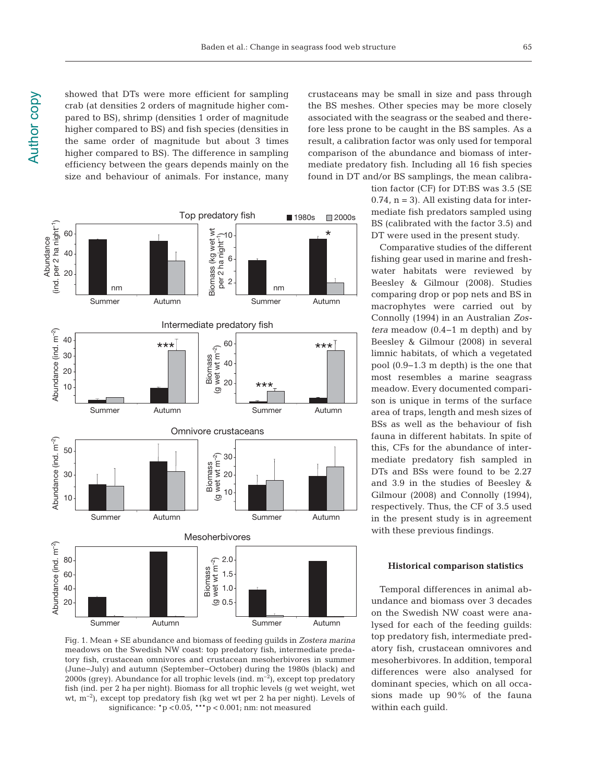showed that DTs were more efficient for sampling crab (at densities 2 orders of magnitude higher compared to BS), shrimp (densities 1 order of magnitude higher compared to BS) and fish species (densities in the same order of magnitude but about 3 times higher compared to BS). The difference in sampling efficiency between the gears depends mainly on the size and behaviour of animals. For instance, many



Fig. 1. Mean + SE abundance and biomass of feeding guilds in *Zostera marina* meadows on the Swedish NW coast: top predatory fish, intermediate predatory fish, crustacean omnivores and crustacean mesoherbivores in summer (June−July) and autumn (September−October) during the 1980s (black) and 2000s (grey). Abundance for all trophic levels (ind.  $m^{-2}$ ), except top predatory fish (ind. per 2 ha per night). Biomass for all trophic levels (g wet weight, wet wt, m−2), except top predatory fish (kg wet wt per 2 ha per night). Levels of significance:  $p < 0.05$ ,  $***p < 0.001$ ; nm: not measured

crustaceans may be small in size and pass through the BS meshes. Other species may be more closely associated with the seagrass or the seabed and therefore less prone to be caught in the BS samples. As a result, a calibration factor was only used for temporal comparison of the abundance and biomass of intermediate predatory fish. Including all 16 fish species found in DT and/or BS samplings, the mean calibra-

> tion factor (CF) for DT:BS was 3.5 (SE  $0.74$ ,  $n = 3$ ). All existing data for intermediate fish predators sampled using BS (calibrated with the factor 3.5) and DT were used in the present study.

> Comparative studies of the different fishing gear used in marine and freshwater habitats were reviewed by Beesley & Gilmour (2008). Studies comparing drop or pop nets and BS in macrophytes were carried out by Con nolly (1994) in an Australian *Zos tera* meadow (0.4−1 m depth) and by Beesley & Gilmour (2008) in several limnic habitats, of which a vegetated pool (0.9−1.3 m depth) is the one that most resembles a marine seagrass meadow. Every documented comparison is unique in terms of the surface area of traps, length and mesh sizes of BSs as well as the behaviour of fish fauna in different habitats. In spite of this, CFs for the abundance of intermediate predatory fish sampled in DTs and BSs were found to be 2.27 and 3.9 in the studies of Beesley & Gilmour (2008) and Connolly (1994), respectively. Thus, the CF of 3.5 used in the present study is in agreement with these previous findings.

#### **Historical comparison statistics**

Temporal differences in animal ab un dance and biomass over 3 decades on the Swedish NW coast were ana lysed for each of the feeding guilds: top predatory fish, intermediate pred atory fish, crustacean omnivores and mesoherbivores. In addition, temporal differences were also analysed for dominant species, which on all occasions made up 90% of the fauna within each guild.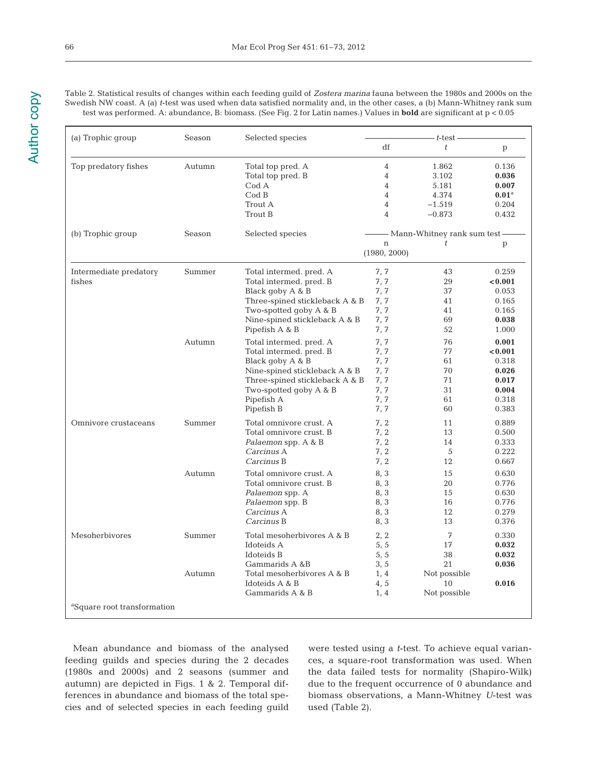Table 2. Statistical results of changes within each feeding guild of *Zostera marina* fauna between the 1980s and 2000s on the Swedish NW coast. A (a) *t*-test was used when data satisfied normality and, in the other cases, a (b) Mann-Whitney rank sum test was performed. A: abundance, B: biomass. (See Fig. 2 for Latin names.) Values in **bold** are significant at p < 0.05

| (a) Trophic group                       | Season | Selected species               | - <i>t</i> -test -               |              |                   |  |  |  |  |
|-----------------------------------------|--------|--------------------------------|----------------------------------|--------------|-------------------|--|--|--|--|
|                                         |        |                                | df                               | t.           | p                 |  |  |  |  |
| Top predatory fishes                    | Autumn | Total top pred. A              | $\overline{4}$                   | 1.862        | 0.136             |  |  |  |  |
|                                         |        | Total top pred. B              | 4                                | 3.102        | 0.036             |  |  |  |  |
|                                         |        | Cod A                          | 4                                | 5.181        | 0.007             |  |  |  |  |
|                                         |        | CodB                           | 4                                | 4.374        | $0.01^{\text{a}}$ |  |  |  |  |
|                                         |        | Trout A                        | 4                                | $-1.519$     | 0.204             |  |  |  |  |
|                                         |        | Trout B                        | 4                                | $-0.873$     | 0.432             |  |  |  |  |
| (b) Trophic group                       | Season | Selected species               | - Mann-Whitney rank sum test -   |              |                   |  |  |  |  |
|                                         |        |                                | t<br>$\mathbf n$<br>(1980, 2000) |              | p                 |  |  |  |  |
|                                         |        |                                |                                  |              |                   |  |  |  |  |
| Intermediate predatory                  | Summer | Total intermed. pred. A        | 7, 7                             | 43           | 0.259             |  |  |  |  |
| fishes                                  |        | Total intermed. pred. B        | 7, 7                             | 29           | < 0.001           |  |  |  |  |
|                                         |        | Black goby A & B               | 7, 7                             | 37           | 0.053             |  |  |  |  |
|                                         |        | Three-spined stickleback A & B | 7, 7                             | 41           | 0.165             |  |  |  |  |
|                                         | Autumn | Two-spotted goby A & B         | 7, 7                             | 41           | 0.165             |  |  |  |  |
|                                         |        | Nine-spined stickleback A & B  | 7,7                              | 69           | 0.038             |  |  |  |  |
|                                         |        | Pipefish A & B                 | 7, 7                             | 52           | 1.000             |  |  |  |  |
|                                         |        | Total intermed. pred. A        | 7,7                              | 76           | 0.001             |  |  |  |  |
|                                         |        | Total intermed. pred. B        | 7, 7                             | 77           | < 0.001           |  |  |  |  |
|                                         |        | Black goby A & B               | 7, 7                             | 61           | 0.318             |  |  |  |  |
|                                         |        | Nine-spined stickleback A & B  | 7, 7                             | 70           | 0.026             |  |  |  |  |
|                                         |        | Three-spined stickleback A & B | 7, 7                             | 71           | 0.017             |  |  |  |  |
|                                         |        | Two-spotted goby A & B         | 7, 7                             | 31           | 0.004             |  |  |  |  |
|                                         |        | Pipefish A                     | 7, 7                             | 61           | 0.318             |  |  |  |  |
|                                         |        | Pipefish B                     | 7, 7                             | 60           | 0.383             |  |  |  |  |
| Omnivore crustaceans                    | Summer | Total omnivore crust. A        | 7, 2                             | 11           | 0.889             |  |  |  |  |
|                                         |        | Total omnivore crust. B        | 7, 2                             | 13           | 0.500             |  |  |  |  |
|                                         |        | <i>Palaemon</i> spp. A & B     | 7.2                              | 14           | 0.333             |  |  |  |  |
|                                         |        | Carcinus A                     | 7.2                              | 5            | 0.222             |  |  |  |  |
|                                         |        | Carcinus B                     | 7, 2                             | 12           | 0.667             |  |  |  |  |
|                                         | Autumn | Total omnivore crust. A        | 8, 3                             | 15           | 0.630             |  |  |  |  |
|                                         |        | Total omnivore crust. B        | 8, 3                             | 20           | 0.776             |  |  |  |  |
|                                         |        | Palaemon spp. A                | 8, 3                             | 15           | 0.630             |  |  |  |  |
|                                         |        | Palaemon spp. B                | 8, 3                             | 16           | 0.776             |  |  |  |  |
|                                         |        | Carcinus A                     | 8, 3                             | 12           | 0.279             |  |  |  |  |
|                                         |        | Carcinus B                     | 8, 3                             | 13           | 0.376             |  |  |  |  |
| Mesoherbivores                          | Summer | Total mesoherbivores A & B     | 2, 2                             | 7            | 0.330             |  |  |  |  |
|                                         |        | Idoteids A                     | 5, 5                             | 17           | 0.032             |  |  |  |  |
|                                         |        | Idoteids B                     | 5, 5                             | 38           | 0.032             |  |  |  |  |
|                                         |        | Gammarids A &B                 | 3, 5                             | 21           | 0.036             |  |  |  |  |
|                                         | Autumn | Total mesoherbivores A & B     | 1.4                              | Not possible |                   |  |  |  |  |
|                                         |        | Idoteids A & B                 | 4, 5                             | 10           | 0.016             |  |  |  |  |
|                                         |        | Gammarids A & B                | 1, 4                             | Not possible |                   |  |  |  |  |
| <sup>a</sup> Square root transformation |        |                                |                                  |              |                   |  |  |  |  |

Mean abundance and biomass of the analysed feeding guilds and species during the 2 decades (1980s and 2000s) and 2 seasons (summer and autumn) are depicted in Figs. 1 & 2. Temporal differences in abundance and biomass of the total species and of selected species in each feeding guild were tested using a *t*-test. To achieve equal varian ces, a square-root transformation was used. When the data failed tests for normality (Shapiro-Wilk) due to the frequent occurrence of 0 abundance and biomass ob servations, a Mann-Whitney *U*-test was used (Table 2).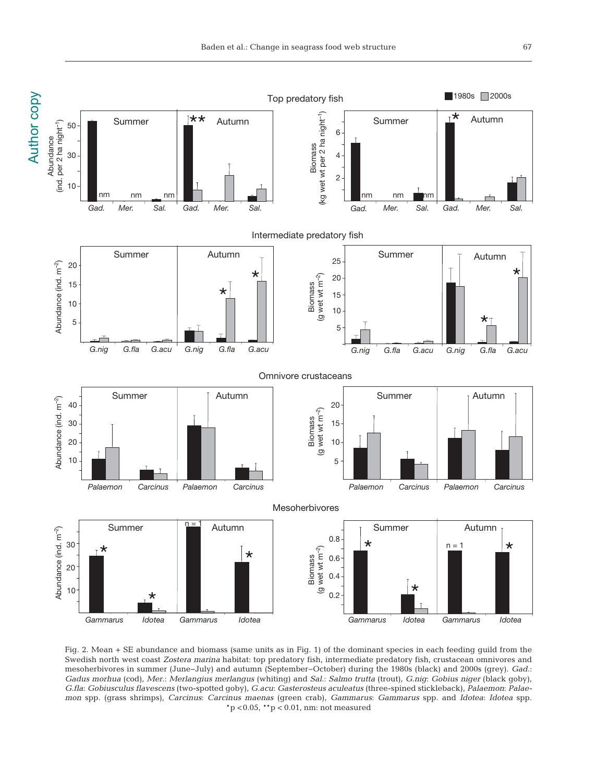

Fig. 2. Mean + SE abundance and biomass (same units as in Fig. 1) of the dominant species in each feeding guild from the Swedish north west coast *Zostera marina* habitat: top predatory fish, intermediate predatory fish, crustacean omnivores and meso herbivores in summer (June−July) and autumn (September−October) during the 1980s (black) and 2000s (grey). *Gad*.: *Gadus morhua* (cod), *Mer*.: *Merlangius merlangus* (whiting) and *Sal*.: *Salmo trutta* (trout), *G.nig*: *Gobius niger* (black goby), *G.fla*: *Gobiusculus flavescens* (two-spotted goby), *G.acu*: *Gasterosteus aculeatus* (three-spined stickleback), *Palaemon*: *Palaemon* spp. (grass shrimps), *Carcinus*: *Carcinus maenas* (green crab), *Gammarus*: *Gammarus* spp. and *Idotea*: *Idotea* spp.  $*p$  < 0.05,  $*p$  < 0.01, nm: not measured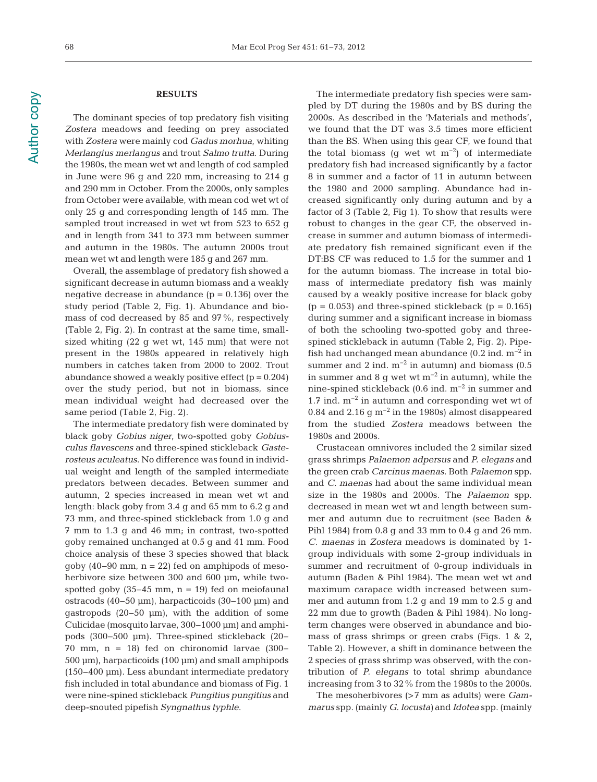# **RESULTS**

The dominant species of top predatory fish visiting *Zostera* meadows and feeding on prey associated with *Zostera* were mainly cod *Gadus morhua*, whiting *Merlangius merlangus* and trout *Salmo trutta*. During the 1980s, the mean wet wt and length of cod sampled in June were 96 g and 220 mm, increasing to 214 g and 290 mm in October. From the 2000s, only samples from October were available, with mean cod wet wt of only 25 g and corresponding length of 145 mm. The sampled trout increased in wet wt from 523 to 652 g and in length from 341 to 373 mm between summer and autumn in the 1980s. The autumn 2000s trout mean wet wt and length were 185 g and 267 mm.

Overall, the assemblage of predatory fish showed a significant decrease in autumn biomass and a weakly negative decrease in abundance  $(p = 0.136)$  over the study period (Table 2, Fig. 1). Abundance and biomass of cod decreased by 85 and 97%, respectively (Table 2, Fig. 2). In contrast at the same time, smallsized whiting (22 g wet wt, 145 mm) that were not present in the 1980s appeared in relatively high numbers in catches taken from 2000 to 2002. Trout abundance showed a weakly positive effect  $(p = 0.204)$ over the study period, but not in biomass, since mean individual weight had decreased over the same period (Table 2, Fig. 2).

The intermediate predatory fish were dominated by black goby *Gobius niger*, two-spotted goby *Gobiusculus flavescens* and three-spined stickleback *Gaste rosteus aculeatus*. No difference was found in individual weight and length of the sampled intermediate predators between decades. Between summer and autumn, 2 species increased in mean wet wt and length: black goby from 3.4 g and 65 mm to 6.2 g and 73 mm, and three-spined stickleback from 1.0 g and 7 mm to 1.3 g and 46 mm; in contrast, two-spotted goby remained unchanged at 0.5 g and 41 mm. Food choice analysis of these 3 species showed that black goby (40−90 mm, n = 22) fed on amphipods of mesoherbivore size between 300 and 600 µm, while twospotted goby  $(35-45 \text{ mm}, \text{ n} = 19)$  fed on meiofaunal ostracods (40−50 µm), harpacticoids (30−100 µm) and gastro pods (20−50 µm), with the addition of some Culicidae (mosquito larvae, 300−1000 µm) and amphi pods (300−500 µm). Three-spined stickleback (20− 70 mm, n = 18) fed on chironomid larvae (300− 500 µm), harpacticoids (100 µm) and small amphipods (150− 400 µm). Less abundant intermediate predatory fish included in total abundance and biomass of Fig. 1 were nine-spined stickle back *Pungitius pungitius* and deep-snouted pipe fish *Syngnathus typhle*.

The intermediate predatory fish species were sampled by DT during the 1980s and by BS during the 2000s. As described in the 'Materials and methods', we found that the DT was 3.5 times more efficient than the BS. When using this gear CF, we found that the total biomass (g wet wt m<sup>-2</sup>) of intermediate predatory fish had increased significantly by a factor 8 in summer and a factor of 11 in autumn between the 1980 and 2000 sampling. Abundance had increased significantly only during autumn and by a factor of 3 (Table 2, Fig 1). To show that results were robust to changes in the gear CF, the observed increase in summer and autumn biomass of intermediate predatory fish remained significant even if the DT:BS CF was reduced to 1.5 for the summer and 1 for the autumn biomass. The increase in total biomass of intermediate predatory fish was mainly caused by a weakly positive increase for black goby  $(p = 0.053)$  and three-spined stickleback  $(p = 0.165)$ during summer and a significant increase in biomass of both the schooling two-spotted goby and threespined stickleback in autumn (Table 2, Fig. 2). Pipe fish had unchanged mean abundance  $(0.2 \text{ ind. m}^{-2} \text{ in}$ summer and 2 ind.  $m^{-2}$  in autumn) and biomass (0.5 in summer and 8 g wet wt  $m^{-2}$  in autumn), while the nine-spined stickleback (0.6 ind. m−2 in summer and 1.7 ind. m−2 in autumn and corresponding wet wt of 0.84 and 2.16 g m−2 in the 1980s) almost disappeared from the studied *Zostera* meadows between the 1980s and 2000s.

Crustacean omnivores included the 2 similar sized grass shrimps *Palaemon adpersus* and *P. elegans* and the green crab *Carcinus maenas*. Both *Palaemon* spp. and *C. maenas* had about the same individual mean size in the 1980s and 2000s. The *Palaemon* spp. decreased in mean wet wt and length between summer and autumn due to recruitment (see Baden & Pihl 1984) from 0.8 g and 33 mm to 0.4 g and 26 mm. *C. maenas* in *Zostera* meadows is dominated by 1 group individuals with some 2-group individuals in summer and recruitment of 0-group individuals in autumn (Baden & Pihl 1984). The mean wet wt and maximum carapace width increased between summer and autumn from 1.2 g and 19 mm to 2.5 g and 22 mm due to growth (Baden & Pihl 1984). No longterm changes were observed in abundance and biomass of grass shrimps or green crabs (Figs. 1 & 2, Table 2). However, a shift in dominance between the 2 species of grass shrimp was observed, with the contribution of *P. elegans* to total shrimp abundance increasing from 3 to 32% from the 1980s to the 2000s.

The mesoherbivores (>7 mm as adults) were *Gammarus* spp. (mainly *G. locusta)* and *Idotea* spp. (mainly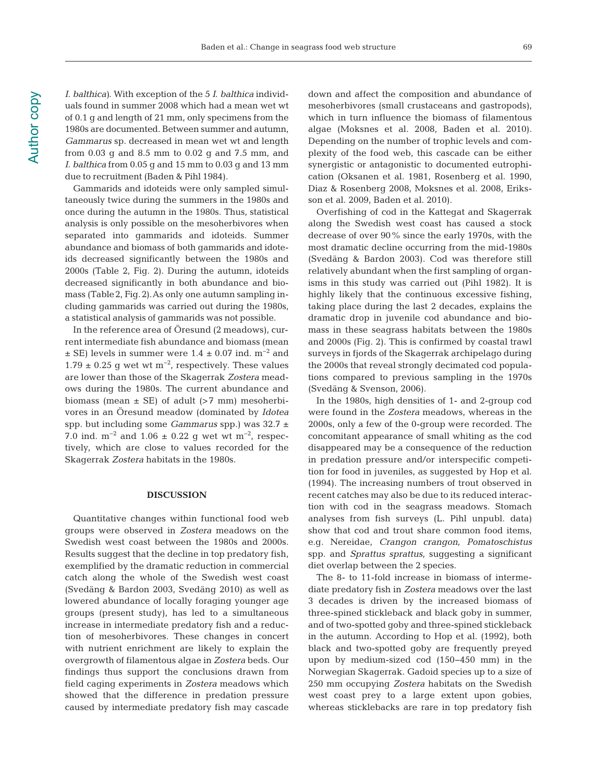*I. balthica)*. With exception of the 5 *I. balthica* individuals found in summer 2008 which had a mean wet wt of 0.1 g and length of 21 mm, only specimens from the 1980s are documented. Between summer and autumn, *Gammarus* sp. decreased in mean wet wt and length from 0.03 g and 8.5 mm to 0.02 g and 7.5 mm, and *I. balthica* from 0.05 g and 15 mm to 0.03 g and 13 mm due to recruitment (Baden & Pihl 1984).

Gammarids and idoteids were only sampled simultaneously twice during the summers in the 1980s and once during the autumn in the 1980s. Thus, statistical analysis is only possible on the mesoherbivores when separated into gammarids and idoteids. Summer abundance and biomass of both gammarids and idoteids decreased significantly between the 1980s and 2000s (Table 2, Fig. 2). During the autumn, idoteids decreased significantly in both abundance and biomass (Table2, Fig.2).As only one autumn sampling in cluding gammarids was carried out during the 1980s, a statistical analysis of gammarids was not possible.

In the reference area of Öresund (2 meadows), current intermediate fish abundance and biomass (mean  $\pm$  SE) levels in summer were 1.4  $\pm$  0.07 ind. m<sup>-2</sup> and 1.79 ± 0.25 g wet wt m<sup>-2</sup>, respectively. These values are lower than those of the Skagerrak *Zostera* meadows during the 1980s. The current abundance and biomass (mean  $\pm$  SE) of adult (>7 mm) mesoherbivores in an Öresund meadow (dominated by *Idotea* spp. but including some *Gammarus* spp.) was 32.7 ± 7.0 ind. m<sup>-2</sup> and 1.06 ± 0.22 g wet wt m<sup>-2</sup>, respectively, which are close to values recorded for the Skagerrak *Zostera* habitats in the 1980s.

#### **DISCUSSION**

Quantitative changes within functional food web groups were observed in *Zostera* meadows on the Swedish west coast between the 1980s and 2000s. Results suggest that the decline in top predatory fish, exemplified by the dramatic reduction in commercial catch along the whole of the Swedish west coast (Svedäng & Bardon 2003, Svedäng 2010) as well as lowered abundance of locally foraging younger age groups (present study), has led to a simultaneous increase in intermediate predatory fish and a reduction of mesoherbivores. These changes in concert with nutrient enrichment are likely to explain the overgrowth of filamentous algae in *Zostera* beds. Our findings thus support the conclusions drawn from field caging experiments in *Zostera* meadows which showed that the difference in predation pressure caused by intermediate predatory fish may cascade

down and affect the composition and abundance of mesoherbivores (small crustaceans and gastropods), which in turn influence the biomass of filamentous algae (Moksnes et al. 2008, Baden et al. 2010). Depending on the number of trophic levels and complexity of the food web, this cascade can be either synergistic or antagonistic to documented eutrophication (Oksanen et al. 1981, Rosenberg et al. 1990, Diaz & Rosenberg 2008, Moksnes et al. 2008, Eriksson et al. 2009, Baden et al. 2010).

Overfishing of cod in the Kattegat and Skagerrak along the Swedish west coast has caused a stock decrease of over 90% since the early 1970s, with the most dramatic decline occurring from the mid-1980s (Svedäng & Bardon 2003). Cod was therefore still relatively abundant when the first sampling of organisms in this study was carried out (Pihl 1982). It is highly likely that the continuous excessive fishing, taking place during the last 2 decades, explains the dramatic drop in juvenile cod abundance and biomass in these seagrass habitats between the 1980s and 2000s (Fig. 2). This is confirmed by coastal trawl surveys in fjords of the Skagerrak archipelago during the 2000s that reveal strongly decimated cod populations compared to previous sampling in the 1970s (Svedäng & Svenson, 2006).

In the 1980s, high densities of 1- and 2-group cod were found in the *Zostera* meadows, whereas in the 2000s, only a few of the 0-group were recorded. The concomitant appearance of small whiting as the cod disappeared may be a consequence of the reduction in predation pressure and/or interspecific competition for food in juveniles, as suggested by Hop et al. (1994). The increasing numbers of trout observed in recent catches may also be due to its reduced interaction with cod in the seagrass meadows. Stomach analyses from fish surveys (L. Pihl unpubl. data) show that cod and trout share common food items, e.g. Nereidae, *Crangon crangon*, *Pomatoschistus* spp. and *Sprattus sprattus*, suggesting a significant diet overlap between the 2 species.

The 8- to 11-fold increase in biomass of interme diate predatory fish in *Zostera* meadows over the last 3 decades is driven by the increased biomass of three-spined stickleback and black goby in summer, and of two-spotted goby and three-spined stickleback in the autumn. According to Hop et al. (1992), both black and two-spotted goby are frequently preyed upon by medium-sized cod (150−450 mm) in the Norwegian Skagerrak. Gadoid species up to a size of 250 mm occupying *Zostera* habitats on the Swedish west coast prey to a large extent upon gobies, whereas sticklebacks are rare in top predatory fish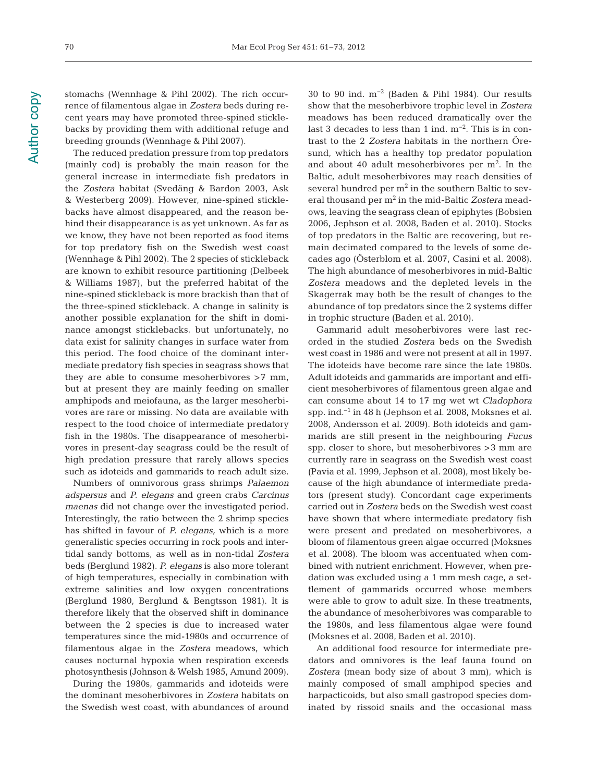70

stomachs (Wennhage & Pihl 2002). The rich occurrence of filamentous algae in *Zostera* beds during recent years may have promoted three-spined sticklebacks by providing them with additional refuge and breeding grounds (Wennhage & Pihl 2007).

The reduced predation pressure from top predators (mainly cod) is probably the main reason for the general increase in intermediate fish predators in the *Zostera* habitat (Svedäng & Bardon 2003, Ask & Westerberg 2009). However, nine-spined sticklebacks have almost disappeared, and the reason be hind their disappearance is as yet unknown. As far as we know, they have not been reported as food items for top predatory fish on the Swedish west coast (Wennhage & Pihl 2002). The 2 species of stickleback are known to exhibit resource partitioning (Delbeek & Williams 1987), but the preferred habitat of the nine-spined stickleback is more brackish than that of the three-spined stickleback. A change in salinity is another possible explanation for the shift in dominance amongst sticklebacks, but unfortunately, no data exist for salinity changes in surface water from this period. The food choice of the dominant intermediate predatory fish species in seagrass shows that they are able to consume mesoherbivores >7 mm, but at present they are mainly feeding on smaller amphipods and meiofauna, as the larger mesoherbivores are rare or missing. No data are available with respect to the food choice of intermediate predatory fish in the 1980s. The disappearance of mesoherbivores in present-day seagrass could be the result of high predation pressure that rarely allows species such as idoteids and gammarids to reach adult size.

Numbers of omnivorous grass shrimps *Palaemon adspersus* and *P. elegans* and green crabs *Carcinus maenas* did not change over the investigated period. Interestingly, the ratio between the 2 shrimp species has shifted in favour of *P. elegans,* which is a more generalistic species occurring in rock pools and intertidal sandy bottoms, as well as in non-tidal *Zostera* beds (Berglund 1982). *P. elegans* is also more tolerant of high temperatures, especially in combination with extreme salinities and low oxygen concentrations (Berglund 1980, Berglund & Bengtsson 1981). It is therefore likely that the observed shift in dominance between the 2 species is due to increased water temperatures since the mid-1980s and occurrence of filamentous algae in the *Zostera* meadows, which causes nocturnal hypoxia when respiration exceeds photo synthesis (Johnson & Welsh 1985, Amund 2009).

During the 1980s, gammarids and idoteids were the dominant mesoherbivores in *Zostera* habitats on the Swedish west coast, with abundances of around 30 to 90 ind. m−2 (Baden & Pihl 1984). Our results show that the mesoherbivore trophic level in *Zostera* meadows has been reduced dramatically over the last 3 decades to less than 1 ind. m<sup>-2</sup>. This is in contrast to the 2 *Zostera* habitats in the northern Öresund, which has a healthy top predator population and about 40 adult mesoherbivores per  $m<sup>2</sup>$ . In the Baltic, adult mesoherbivores may reach densities of several hundred per  $m<sup>2</sup>$  in the southern Baltic to several thousand per m<sup>2</sup> in the mid-Baltic *Zostera* meadows*,* leaving the seagrass clean of epiphytes (Bobsien 2006, Jephson et al. 2008, Baden et al. 2010). Stocks of top predators in the Baltic are recovering, but re main decimated compared to the levels of some de cades ago (Österblom et al. 2007, Casini et al. 2008). The high abundance of mesoherbivores in mid-Baltic *Zostera* meadows and the depleted levels in the Skagerrak may both be the result of changes to the abundance of top predators since the 2 systems differ in trophic structure (Baden et al. 2010).

Gammarid adult mesoherbivores were last recorded in the studied *Zostera* beds on the Swedish west coast in 1986 and were not present at all in 1997. The idoteids have become rare since the late 1980s. Adult idoteids and gammarids are important and efficient mesoherbivores of filamentous green algae and can consume about 14 to 17 mg wet wt *Cladophora* spp. ind.–1 in 48 h (Jephson et al. 2008, Moksnes et al. 2008, Andersson et al. 2009). Both idoteids and gammarids are still present in the neighbouring *Fucus* spp. closer to shore, but mesoherbivores >3 mm are currently rare in seagrass on the Swedish west coast (Pavia et al. 1999, Jephson et al. 2008), most likely because of the high abundance of intermediate predators (present study). Concordant cage experiments carried out in *Zostera* beds on the Swedish west coast have shown that where intermediate predatory fish were present and predated on mesoherbivores, a bloom of filamentous green algae occurred (Moksnes et al. 2008). The bloom was accentuated when combined with nutrient enrichment. However, when predation was excluded using a 1 mm mesh cage, a settlement of gammarids occurred whose members were able to grow to adult size. In these treatments, the abundance of mesoherbivores was comparable to the 1980s, and less filamentous algae were found (Moksnes et al. 2008, Baden et al. 2010).

An additional food resource for intermediate predators and omnivores is the leaf fauna found on *Zostera* (mean body size of about 3 mm), which is mainly composed of small amphipod species and harpacticoids, but also small gastropod species dominated by rissoid snails and the occasional mass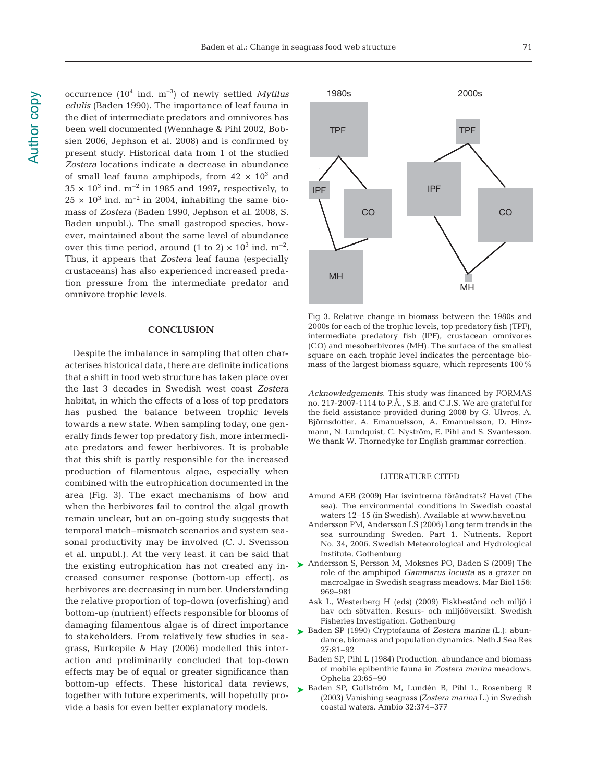occurrence (104 ind. m−3) of newly settled *Mytilus edulis* (Baden 1990). The importance of leaf fauna in the diet of intermediate predators and omnivores has been well documented (Wennhage & Pihl 2002, Bobsien 2006, Jephson et al. 2008) and is confirmed by present study. Historical data from 1 of the studied *Zostera* locations indicate a decrease in abundance of small leaf fauna amphipods, from  $42 \times 10^3$  and  $35 \times 10^3$  ind. m<sup>-2</sup> in 1985 and 1997, respectively, to  $25 \times 10^3$  ind. m<sup>-2</sup> in 2004, inhabiting the same biomass of *Zostera* (Baden 1990, Jephson et al. 2008, S. Baden unpubl.). The small gastropod species, however, maintained about the same level of abundance over this time period, around (1 to 2) ×  $10^3$  ind. m<sup>-2</sup>. Thus, it appears that *Zostera* leaf fauna (especially crustaceans) has also experienced increased predation pressure from the intermediate predator and omnivore trophic levels.

## **CONCLUSION**

Despite the imbalance in sampling that often characterises historical data, there are definite indications that a shift in food web structure has taken place over the last 3 decades in Swedish west coast *Zostera* habitat, in which the effects of a loss of top predators has pushed the balance between trophic levels towards a new state. When sampling today, one generally finds fewer top predatory fish, more intermediate predators and fewer herbivores. It is probable that this shift is partly responsible for the increased production of filamentous algae, especially when combined with the eutrophication documented in the area (Fig. 3). The exact mechanisms of how and when the herbivores fail to control the algal growth remain unclear, but an on-going study suggests that temporal match− mismatch scenarios and system seasonal productivity may be involved (C. J. Svensson et al. unpubl.). At the very least, it can be said that the existing eutrophication has not created any in creased consumer response (bottom-up effect), as herbivores are decreasing in number. Understanding the relative proportion of top-down (overfishing) and bottom-up (nutrient) effects responsible for blooms of damaging filamentous algae is of direct importance to stakeholders. From relatively few studies in seagrass, Burkepile & Hay (2006) modelled this inter action and preliminarily concluded that top-down effects may be of equal or greater significance than bottom-up effects. These historical data reviews, together with future experiments, will hopefully provide a basis for even better explanatory models.



Fig 3. Relative change in biomass between the 1980s and 2000s for each of the trophic levels, top predatory fish (TPF), intermediate predatory fish (IPF), crustacean omnivores (CO) and mesoherbivores (MH). The surface of the smallest square on each trophic level indicates the percentage biomass of the largest biomass square, which represents 100%

*Acknowledgements*. This study was financed by FORMAS no. 217-2007-1114 to P.Å., S.B. and C.J.S. We are grateful for the field assistance provided during 2008 by G. Ulvros, A. Björnsdotter, A. Emanuelsson, A. Emanuelsson, D. Hinzmann, N. Lundquist, C. Nyström, E. Pihl and S. Svantesson. We thank W. Thornedyke for English grammar correction.

#### LITERATURE CITED

- Amund AEB (2009) Har isvintrerna förändrats? Havet (The sea). The environmental conditions in Swedish coastal waters 12–15 (in Swedish). Available at www.havet.nu
- Andersson PM, Andersson LS (2006) Long term trends in the sea surrounding Sweden. Part 1. Nutrients. Report No. 34, 2006. Swedish Meteorological and Hydrological Institute, Gothenburg
- ▶ Andersson S, Persson M, Moksnes PO, Baden S (2009) The role of the amphipod *Gammarus locusta* as a grazer on macroalgae in Swedish seagrass meadows. Mar Biol 156: 969−981
	- Ask L, Westerberg H (eds) (2009) Fiskbestånd och miljö i hav och sötvatten. Resurs- och miljööversikt. Swedish Fisheries Investigation, Gothenburg
- ► Baden SP (1990) Cryptofauna of *Zostera marina* (L.): abundance, biomass and population dynamics. Neth J Sea Res 27: 81−92
	- Baden SP, Pihl L (1984) Production. abundance and biomass of mobile epibenthic fauna in *Zostera marina* meadows. Ophelia 23:65-90
- ▶ Baden SP, Gullström M, Lundén B, Pihl L, Rosenberg R (2003) Vanishing seagrass *(Zostera marina* L.) in Swedish coastal waters. Ambio 32: 374−377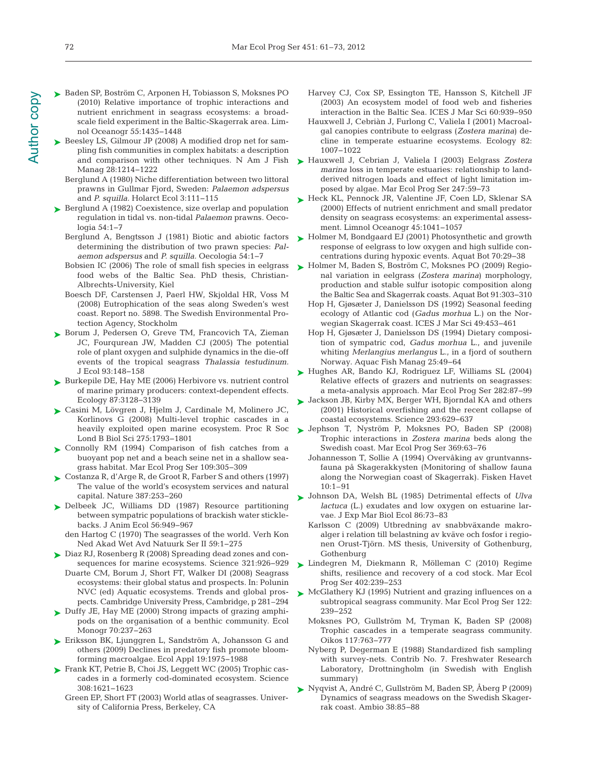- ► Beesley LS, Gilmour JP (2008) A modified drop net for sampling fish communities in complex habitats: a description and comparison with other techniques. N Am J Fish Manag 28:1214-1222
	- Berglund A (1980) Niche differentiation between two littoral prawns in Gullmar Fjord, Sweden: *Palaemon adspersus* and *P. squilla.* Holarct Ecol 3: 111−115
- ► Berglund A (1982) Coexistence, size overlap and population regulation in tidal vs. non-tidal *Palaemon* prawns. Oeco logia 54:1−7
	- Berglund A, Bengtsson J (1981) Biotic and abiotic factors determining the distribution of two prawn species: *Pal ae mon adspersus* and *P. squilla.* Oecologia 54: 1−7
	- Bobsien IC (2006) The role of small fish species in eelgrass food webs of the Baltic Sea. PhD thesis, Christian-Albrechts-University, Kiel
	- Boesch DF, Carstensen J, Paerl HW, Skjoldal HR, Voss M (2008) Eutrophication of the seas along Sweden's west coast. Report no. 5898. The Swedish Environmental Protection Agency, Stockholm
- ► Borum J, Pedersen O, Greve TM, Francovich TA, Zieman JC, Fourqurean JW, Madden CJ (2005) The potential role of plant oxygen and sulphide dynamics in the die-off events of the tropical seagrass *Thalassia testudinum.* J Ecol 93: 148−158
- ► Burkepile DE, Hay ME (2006) Herbivore vs. nutrient control of marine primary producers: context-dependent effects. Ecology 87: 3128−3139
- Casini M, Lövgren J, Hjelm J, Cardinale M, Molinero JC, ➤ Korlinovs G (2008) Multi-level trophic cascades in a Lond B Biol Sci 275: 1793−1801
- ▶ Connolly RM (1994) Comparison of fish catches from a buoyant pop net and a beach seine net in a shallow seagrass habitat. Mar Ecol Prog Ser 109:305-309
- Costanza R, d'Arge R, de Groot R, Farber S and others (1997) ➤ The value of the world's ecosystem services and natural capital. Nature 387: 253−260
- ▶ Delbeek JC, Williams DD (1987) Resource partitioning between sympatric populations of brackish water sticklebacks. J Anim Ecol 56: 949−967
	- den Hartog C (1970) The seagrasses of the world. Verh Kon Ned Akad Wet Avd Natuurk Ser II 59:1-275
- Diaz RJ, Rosenberg R (2008) Spreading dead zones and con-➤ sequences for marine ecosystems. Science 321:926-929 Duarte CM, Borum J, Short FT, Walker DI (2008) Seagrass ecosystems: their global status and prospects. In: Polunin NVC (ed) Aquatic ecosystems. Trends and global prospects. Cambridge University Press, Cambridge, p 281–294
- ► Duffy JE, Hay ME (2000) Strong impacts of grazing amphipods on the organisation of a benthic community. Ecol Monogr 70:237-263
- ► Eriksson BK, Ljunggren L, Sandström A, Johansson G and others (2009) Declines in predatory fish promote bloomforming macroalgae. Ecol Appl 19: 1975−1988
- ► Frank KT, Petrie B, Choi JS, Leggett WC (2005) Trophic cascades in a formerly cod-dominated ecosystem. Science 308: 1621−1623
	- Green EP, Short FT (2003) World atlas of seagrasses. University of California Press, Berkeley, CA
- Harvey CJ, Cox SP, Essington TE, Hansson S, Kitchell JF (2003) An ecosystem model of food web and fisheries interaction in the Baltic Sea. ICES J Mar Sci 60: 939−950
- Hauxwell J, Cebriàn J, Furlong C, Valiela I (2001) Macroalgal canopies contribute to eelgrass (*Zostera marina*) de cline in temperate estuarine ecosystems. Ecology 82: 1007−1022
- Hauxwell J, Cebrian J, Valiela I (2003) Eelgrass *Zostera* ➤ *marina* loss in temperate estuaries: relationship to landderived nitrogen loads and effect of light limitation im posed by algae. Mar Ecol Prog Ser 247:59-73
- ► Heck KL, Pennock JR, Valentine JF, Coen LD, Sklenar SA (2000) Effects of nutrient enrichment and small predator density on seagrass ecosystems: an experimental assessment. Limnol Oceanogr 45: 1041−1057
- ► Holmer M, Bondgaard EJ (2001) Photosynthetic and growth response of eelgrass to low oxygen and high sulfide concentrations during hypoxic events. Aquat Bot 70:29–38
- ► Holmer M, Baden S, Boström C, Moksnes PO (2009) Regional variation in eelgrass (*Zostera marina*) morphology, production and stable sulfur isotopic composition along the Baltic Sea and Skagerrak coasts. Aquat Bot 91: 303−310
	- Hop H, Gjøsæter J, Danielsson DS (1992) Seasonal feeding ecology of Atlantic cod (*Gadus morhua* L.) on the Norwegian Skagerrak coast. ICES J Mar Sci 49:453-461
	- Hop H, Gjøsæter J, Danielsson DS (1994) Dietary composition of sympatric cod, *Gadus morhua* L., and juvenile whiting *Merlangius merlangus* L., in a fjord of southern Norway. Aquac Fish Manag 25:49-64
- ▶ Hughes AR, Bando KJ, Rodriguez LF, Williams SL (2004) Relative effects of grazers and nutrients on seagrasses: a meta-analysis approach. Mar Ecol Prog Ser 282: 87−99
- Jackson JB, Kirby MX, Berger WH, Bjorndal KA and others ➤ (2001) Historical overfishing and the recent collapse of coastal ecosystems. Science 293: 629−637
- heavily exploited open marine ecosystem. Proc R Soc  $\blacktriangleright$  Jephson T, Nyström P, Moksnes PO, Baden SP (2008) Trophic interactions in *Zostera marina* beds along the Swedish coast. Mar Ecol Prog Ser 369:63-76
	- Johannesson T, Sollie A (1994) Overvåking av gruntvannsfauna på Skagerakkysten (Monitoring of shallow fauna along the Norwegian coast of Skagerrak). Fisken Havet  $10:1 - 91$
	- Johnson DA, Welsh BL (1985) Detrimental effects of *Ulva* ➤ *lactuca* (L.) exudates and low oxygen on estuarine larvae. J Exp Mar Biol Ecol 86:73–83
		- Karlsson C (2009) Utbredning av snabbväxande makroalger i relation till belastning av kväve och fosfor i regionen Orust-Tjörn. MS thesis, University of Gothenburg, Gothenburg
	- Lindegren M, Diekmann R, Mölleman C (2010) Regime ➤ shifts, resilience and recovery of a cod stock. Mar Ecol Prog Ser 402:239-253
	- ▶ McGlathery KJ (1995) Nutrient and grazing influences on a subtropical seagrass community. Mar Ecol Prog Ser 122: 239−252
		- Moksnes PO, Gullström M, Tryman K, Baden SP (2008) Trophic cascades in a temperate seagrass community. Oikos 117: 763−777
		- Nyberg P, Degerman E (1988) Standardized fish sampling with survey-nets. Contrib No. 7. Freshwater Research Laboratory, Drottningholm (in Swedish with English summary)
	- Nyqvist A, André C, Gullström M, Baden SP, Åberg P (2009) ➤Dynamics of seagrass meadows on the Swedish Skagerrak coast. Ambio 38: 85−88